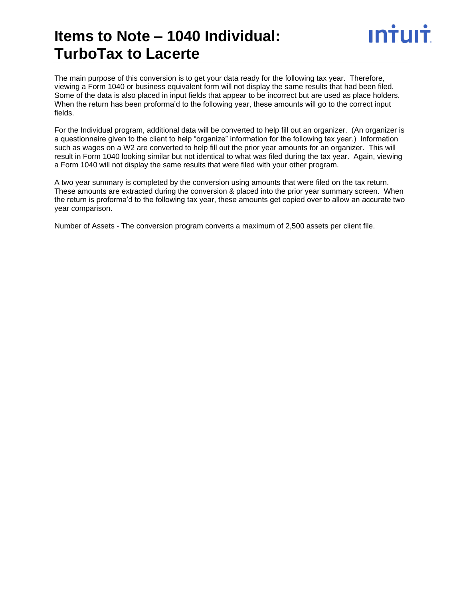# **Items to Note – 1040 Individual: TurboTax to Lacerte**

The main purpose of this conversion is to get your data ready for the following tax year. Therefore, viewing a Form 1040 or business equivalent form will not display the same results that had been filed. Some of the data is also placed in input fields that appear to be incorrect but are used as place holders. When the return has been proforma'd to the following year, these amounts will go to the correct input fields.

For the Individual program, additional data will be converted to help fill out an organizer. (An organizer is a questionnaire given to the client to help "organize" information for the following tax year.) Information such as wages on a W2 are converted to help fill out the prior year amounts for an organizer. This will result in Form 1040 looking similar but not identical to what was filed during the tax year. Again, viewing a Form 1040 will not display the same results that were filed with your other program.

A two year summary is completed by the conversion using amounts that were filed on the tax return. These amounts are extracted during the conversion & placed into the prior year summary screen. When the return is proforma'd to the following tax year, these amounts get copied over to allow an accurate two year comparison.

Number of Assets - The conversion program converts a maximum of 2,500 assets per client file.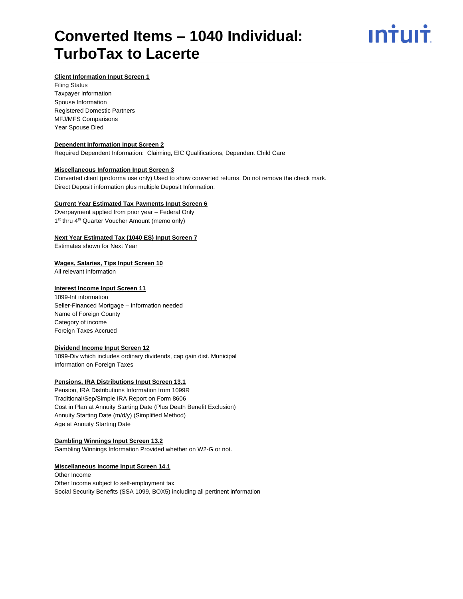# **Converted Items – 1040 Individual: TurboTax to Lacerte**



# **Client Information Input Screen 1**

Filing Status Taxpayer Information Spouse Information Registered Domestic Partners MFJ/MFS Comparisons Year Spouse Died

#### **Dependent Information Input Screen 2**

Required Dependent Information: Claiming, EIC Qualifications, Dependent Child Care

# **Miscellaneous Information Input Screen 3**

Converted client (proforma use only) Used to show converted returns, Do not remove the check mark. Direct Deposit information plus multiple Deposit Information.

#### **Current Year Estimated Tax Payments Input Screen 6**

Overpayment applied from prior year – Federal Only 1<sup>st</sup> thru 4<sup>th</sup> Quarter Voucher Amount (memo only)

## **Next Year Estimated Tax (1040 ES) Input Screen 7**

Estimates shown for Next Year

#### **Wages, Salaries, Tips Input Screen 10**

All relevant information

#### **Interest Income Input Screen 11**

1099-Int information Seller-Financed Mortgage – Information needed Name of Foreign County Category of income Foreign Taxes Accrued

# **Dividend Income Input Screen 12**

1099-Div which includes ordinary dividends, cap gain dist. Municipal Information on Foreign Taxes

# **Pensions, IRA Distributions Input Screen 13.1**

Pension, IRA Distributions Information from 1099R Traditional/Sep/Simple IRA Report on Form 8606 Cost in Plan at Annuity Starting Date (Plus Death Benefit Exclusion) Annuity Starting Date (m/d/y) (Simplified Method) Age at Annuity Starting Date

#### **Gambling Winnings Input Screen 13.2**

Gambling Winnings Information Provided whether on W2-G or not.

### **Miscellaneous Income Input Screen 14.1**

Other Income Other Income subject to self-employment tax Social Security Benefits (SSA 1099, BOX5) including all pertinent information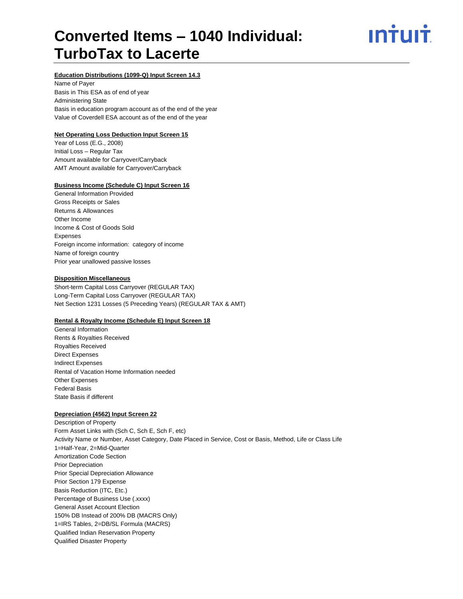# **Converted Items – 1040 Individual: TurboTax to Lacerte**

ın<del>i</del>uı<del>i</del>

# **Education Distributions (1099-Q) Input Screen 14.3**

Name of Payer Basis in This ESA as of end of year Administering State Basis in education program account as of the end of the year Value of Coverdell ESA account as of the end of the year

# **Net Operating Loss Deduction Input Screen 15**

Year of Loss (E.G., 2008) Initial Loss – Regular Tax Amount available for Carryover/Carryback AMT Amount available for Carryover/Carryback

# **Business Income (Schedule C) Input Screen 16**

General Information Provided Gross Receipts or Sales Returns & Allowances Other Income Income & Cost of Goods Sold Expenses Foreign income information: category of income Name of foreign country Prior year unallowed passive losses

# **Disposition Miscellaneous**

Short-term Capital Loss Carryover (REGULAR TAX) Long-Term Capital Loss Carryover (REGULAR TAX) Net Section 1231 Losses (5 Preceding Years) (REGULAR TAX & AMT)

### **Rental & Royalty Income (Schedule E) Input Screen 18**

General Information Rents & Royalties Received Royalties Received Direct Expenses Indirect Expenses Rental of Vacation Home Information needed Other Expenses Federal Basis State Basis if different

### **Depreciation (4562) Input Screen 22**

Description of Property Form Asset Links with (Sch C, Sch E, Sch F, etc) Activity Name or Number, Asset Category, Date Placed in Service, Cost or Basis, Method, Life or Class Life 1=Half-Year, 2=Mid-Quarter Amortization Code Section Prior Depreciation Prior Special Depreciation Allowance Prior Section 179 Expense Basis Reduction (ITC, Etc.) Percentage of Business Use (.xxxx) General Asset Account Election 150% DB Instead of 200% DB (MACRS Only) 1=IRS Tables, 2=DB/SL Formula (MACRS) Qualified Indian Reservation Property Qualified Disaster Property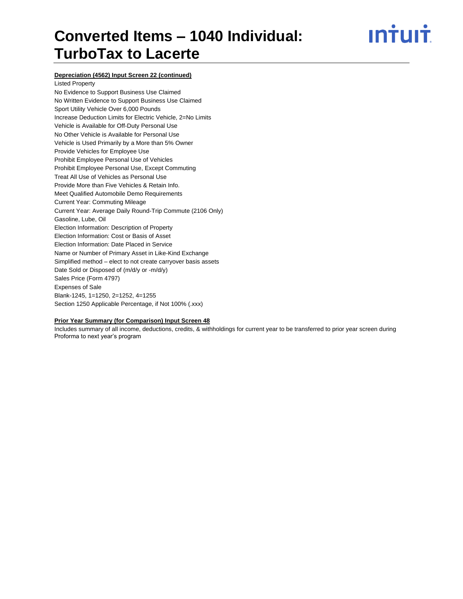# **Converted Items – 1040 Individual: TurboTax to Lacerte**



# **Depreciation (4562) Input Screen 22 (continued)**

Listed Property No Evidence to Support Business Use Claimed No Written Evidence to Support Business Use Claimed Sport Utility Vehicle Over 6,000 Pounds Increase Deduction Limits for Electric Vehicle, 2=No Limits Vehicle is Available for Off-Duty Personal Use No Other Vehicle is Available for Personal Use Vehicle is Used Primarily by a More than 5% Owner Provide Vehicles for Employee Use Prohibit Employee Personal Use of Vehicles Prohibit Employee Personal Use, Except Commuting Treat All Use of Vehicles as Personal Use Provide More than Five Vehicles & Retain Info. Meet Qualified Automobile Demo Requirements Current Year: Commuting Mileage Current Year: Average Daily Round-Trip Commute (2106 Only) Gasoline, Lube, Oil Election Information: Description of Property Election Information: Cost or Basis of Asset Election Information: Date Placed in Service Name or Number of Primary Asset in Like-Kind Exchange Simplified method – elect to not create carryover basis assets Date Sold or Disposed of (m/d/y or -m/d/y) Sales Price (Form 4797) Expenses of Sale Blank-1245, 1=1250, 2=1252, 4=1255 Section 1250 Applicable Percentage, if Not 100% (.xxx)

## **Prior Year Summary (for Comparison) Input Screen 48**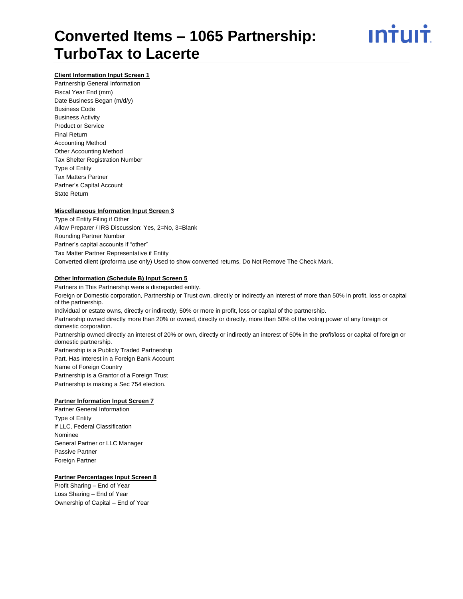# **Converted Items – 1065 Partnership: TurboTax to Lacerte**



# **Client Information Input Screen 1**

Partnership General Information Fiscal Year End (mm) Date Business Began (m/d/y) Business Code Business Activity Product or Service Final Return Accounting Method Other Accounting Method Tax Shelter Registration Number Type of Entity Tax Matters Partner Partner's Capital Account State Return

### **Miscellaneous Information Input Screen 3**

Type of Entity Filing if Other Allow Preparer / IRS Discussion: Yes, 2=No, 3=Blank Rounding Partner Number Partner's capital accounts if "other" Tax Matter Partner Representative if Entity Converted client (proforma use only) Used to show converted returns, Do Not Remove The Check Mark.

### **Other Information (Schedule B) Input Screen 5**

Partners in This Partnership were a disregarded entity. Foreign or Domestic corporation, Partnership or Trust own, directly or indirectly an interest of more than 50% in profit, loss or capital of the partnership. Individual or estate owns, directly or indirectly, 50% or more in profit, loss or capital of the partnership. Partnership owned directly more than 20% or owned, directly or directly, more than 50% of the voting power of any foreign or domestic corporation. Partnership owned directly an interest of 20% or own, directly or indirectly an interest of 50% in the profit/loss or capital of foreign or domestic partnership. Partnership is a Publicly Traded Partnership Part. Has Interest in a Foreign Bank Account Name of Foreign Country Partnership is a Grantor of a Foreign Trust Partnership is making a Sec 754 election.

# **Partner Information Input Screen 7**

Partner General Information Type of Entity If LLC, Federal Classification Nominee General Partner or LLC Manager Passive Partner Foreign Partner

## **Partner Percentages Input Screen 8**

Profit Sharing – End of Year Loss Sharing – End of Year Ownership of Capital – End of Year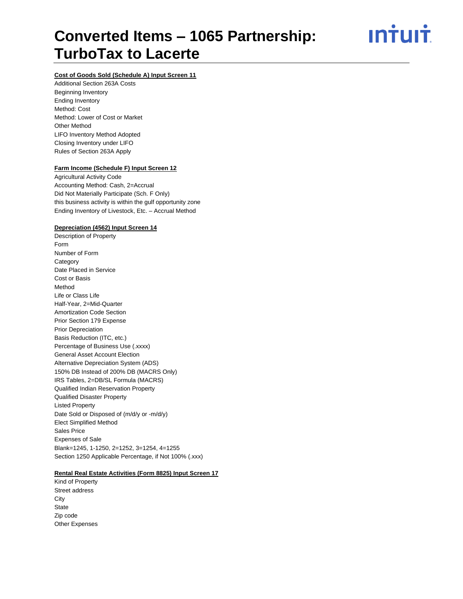# **Converted Items – 1065 Partnership: TurboTax to Lacerte**

<u>ıntuıt</u>

# **Cost of Goods Sold (Schedule A) Input Screen 11**

Additional Section 263A Costs Beginning Inventory Ending Inventory Method: Cost Method: Lower of Cost or Market Other Method LIFO Inventory Method Adopted Closing Inventory under LIFO Rules of Section 263A Apply

### **Farm Income (Schedule F) Input Screen 12**

Agricultural Activity Code Accounting Method: Cash, 2=Accrual Did Not Materially Participate (Sch. F Only) this business activity is within the gulf opportunity zone Ending Inventory of Livestock, Etc. – Accrual Method

### **Depreciation (4562) Input Screen 14**

Description of Property Form Number of Form **Category** Date Placed in Service Cost or Basis Method Life or Class Life Half-Year, 2=Mid-Quarter Amortization Code Section Prior Section 179 Expense Prior Depreciation Basis Reduction (ITC, etc.) Percentage of Business Use (.xxxx) General Asset Account Election Alternative Depreciation System (ADS) 150% DB Instead of 200% DB (MACRS Only) IRS Tables, 2=DB/SL Formula (MACRS) Qualified Indian Reservation Property Qualified Disaster Property Listed Property Date Sold or Disposed of (m/d/y or -m/d/y) Elect Simplified Method Sales Price Expenses of Sale Blank=1245, 1-1250, 2=1252, 3=1254, 4=1255 Section 1250 Applicable Percentage, if Not 100% (.xxx)

# **Rental Real Estate Activities (Form 8825) Input Screen 17**

Kind of Property Street address **City State** Zip code Other Expenses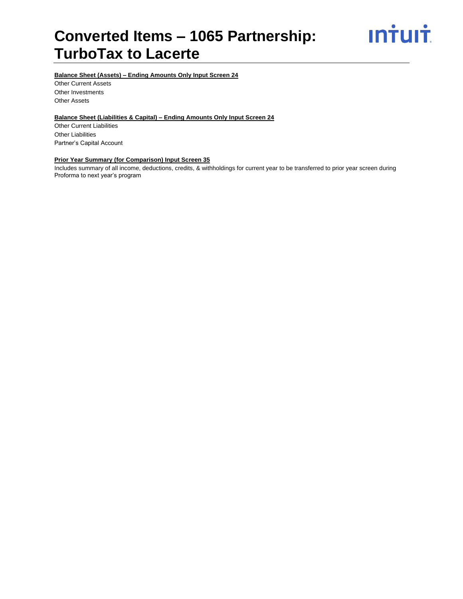# **Converted Items – 1065 Partnership: TurboTax to Lacerte**



# **Balance Sheet (Assets) – Ending Amounts Only Input Screen 24**

Other Current Assets Other Investments Other Assets

# **Balance Sheet (Liabilities & Capital) – Ending Amounts Only Input Screen 24**

Other Current Liabilities Other Liabilities Partner's Capital Account

# **Prior Year Summary (for Comparison) Input Screen 35**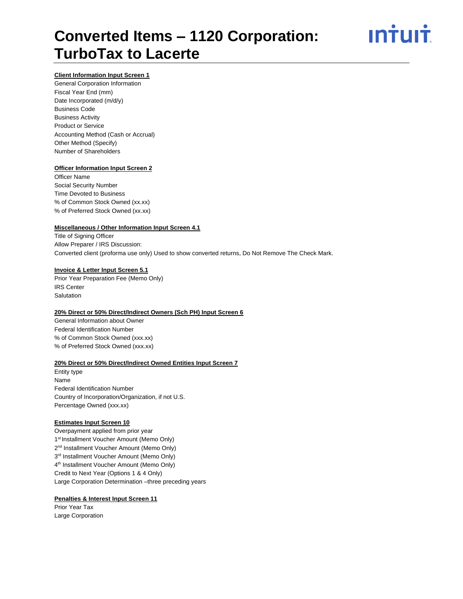# **Converted Items – 1120 Corporation: TurboTax to Lacerte**



# **Client Information Input Screen 1**

General Corporation Information Fiscal Year End (mm) Date Incorporated (m/d/y) Business Code Business Activity Product or Service Accounting Method (Cash or Accrual) Other Method (Specify) Number of Shareholders

#### **Officer Information Input Screen 2**

Officer Name Social Security Number Time Devoted to Business % of Common Stock Owned (xx.xx) % of Preferred Stock Owned (xx.xx)

#### **Miscellaneous / Other Information Input Screen 4.1**

Title of Signing Officer Allow Preparer / IRS Discussion: Converted client (proforma use only) Used to show converted returns, Do Not Remove The Check Mark.

#### **Invoice & Letter Input Screen 5.1**

Prior Year Preparation Fee (Memo Only) IRS Center Salutation

# **20% Direct or 50% Direct/Indirect Owners (Sch PH) Input Screen 6**

General Information about Owner Federal Identification Number % of Common Stock Owned (xxx.xx) % of Preferred Stock Owned (xxx.xx)

#### **20% Direct or 50% Direct/Indirect Owned Entities Input Screen 7**

Entity type Name Federal Identification Number Country of Incorporation/Organization, if not U.S. Percentage Owned (xxx.xx)

### **Estimates Input Screen 10**

Overpayment applied from prior year 1<sup>st</sup> Installment Voucher Amount (Memo Only) 2<sup>nd</sup> Installment Voucher Amount (Memo Only) 3<sup>rd</sup> Installment Voucher Amount (Memo Only) 4<sup>th</sup> Installment Voucher Amount (Memo Only) Credit to Next Year (Options 1 & 4 Only) Large Corporation Determination –three preceding years

### **Penalties & Interest Input Screen 11**

Prior Year Tax Large Corporation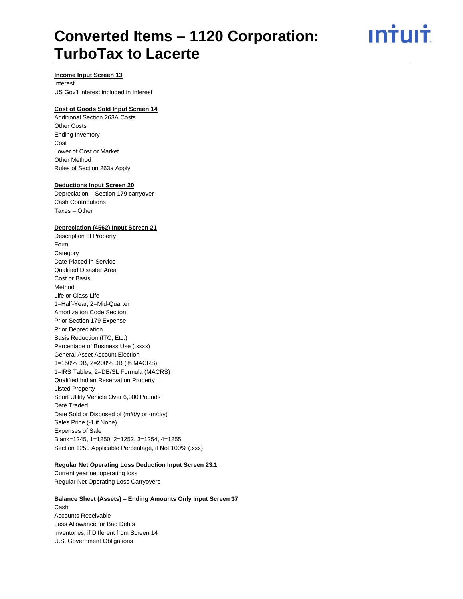# **Converted Items – 1120 Corporation: TurboTax to Lacerte**

ın<del>i</del>uı<del>i</del>

## **Income Input Screen 13**

Interest US Gov't interest included in Interest

# **Cost of Goods Sold Input Screen 14**

Additional Section 263A Costs Other Costs Ending Inventory Cost Lower of Cost or Market Other Method Rules of Section 263a Apply

## **Deductions Input Screen 20**

Depreciation – Section 179 carryover Cash Contributions Taxes – Other

## **Depreciation (4562) Input Screen 21**

Description of Property Form **Category** Date Placed in Service Qualified Disaster Area Cost or Basis Method Life or Class Life 1=Half-Year, 2=Mid-Quarter Amortization Code Section Prior Section 179 Expense Prior Depreciation Basis Reduction (ITC, Etc.) Percentage of Business Use (.xxxx) General Asset Account Election 1=150% DB, 2=200% DB (% MACRS) 1=IRS Tables, 2=DB/SL Formula (MACRS) Qualified Indian Reservation Property Listed Property Sport Utility Vehicle Over 6,000 Pounds Date Traded Date Sold or Disposed of (m/d/y or -m/d/y) Sales Price (-1 if None) Expenses of Sale Blank=1245, 1=1250, 2=1252, 3=1254, 4=1255 Section 1250 Applicable Percentage, if Not 100% (.xxx)

#### **Regular Net Operating Loss Deduction Input Screen 23.1**

Current year net operating loss Regular Net Operating Loss Carryovers

# **Balance Sheet (Assets) – Ending Amounts Only Input Screen 37** Cash Accounts Receivable Less Allowance for Bad Debts Inventories, if Different from Screen 14

U.S. Government Obligations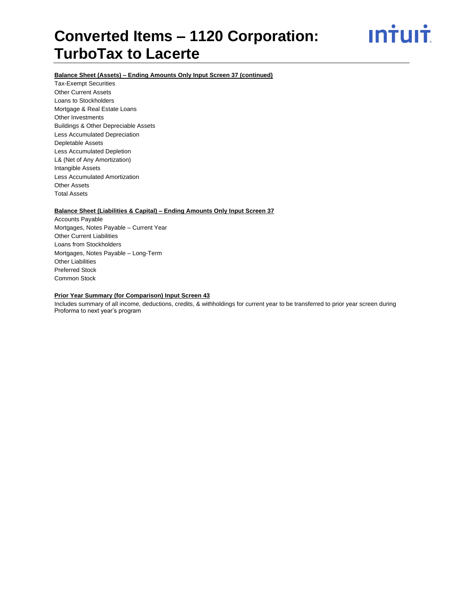# **Converted Items – 1120 Corporation: TurboTax to Lacerte**



# **Balance Sheet (Assets) – Ending Amounts Only Input Screen 37 (continued)**

Tax-Exempt Securities Other Current Assets Loans to Stockholders Mortgage & Real Estate Loans Other Investments Buildings & Other Depreciable Assets Less Accumulated Depreciation Depletable Assets Less Accumulated Depletion L& (Net of Any Amortization) Intangible Assets Less Accumulated Amortization Other Assets Total Assets

# **Balance Sheet (Liabilities & Capital) – Ending Amounts Only Input Screen 37**

Accounts Payable Mortgages, Notes Payable – Current Year Other Current Liabilities Loans from Stockholders Mortgages, Notes Payable – Long-Term Other Liabilities Preferred Stock Common Stock

# **Prior Year Summary (for Comparison) Input Screen 43**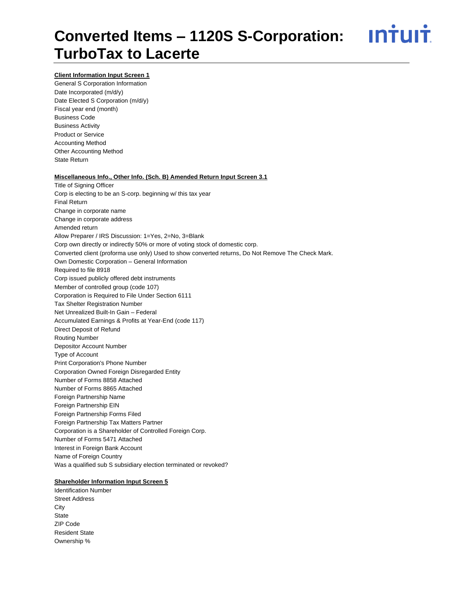# **Converted Items – 1120S S-Corporation: TurboTax to Lacerte**

<u>ıntuıt</u>

# **Client Information Input Screen 1**

General S Corporation Information Date Incorporated (m/d/y) Date Elected S Corporation (m/d/y) Fiscal year end (month) Business Code Business Activity Product or Service Accounting Method Other Accounting Method State Return

#### **Miscellaneous Info., Other Info. (Sch. B) Amended Return Input Screen 3.1**

Title of Signing Officer Corp is electing to be an S-corp. beginning w/ this tax year Final Return Change in corporate name Change in corporate address Amended return Allow Preparer / IRS Discussion: 1=Yes, 2=No, 3=Blank Corp own directly or indirectly 50% or more of voting stock of domestic corp. Converted client (proforma use only) Used to show converted returns, Do Not Remove The Check Mark. Own Domestic Corporation – General Information Required to file 8918 Corp issued publicly offered debt instruments Member of controlled group (code 107) Corporation is Required to File Under Section 6111 Tax Shelter Registration Number Net Unrealized Built-In Gain – Federal Accumulated Earnings & Profits at Year-End (code 117) Direct Deposit of Refund Routing Number Depositor Account Number Type of Account Print Corporation's Phone Number Corporation Owned Foreign Disregarded Entity Number of Forms 8858 Attached Number of Forms 8865 Attached Foreign Partnership Name Foreign Partnership EIN Foreign Partnership Forms Filed Foreign Partnership Tax Matters Partner Corporation is a Shareholder of Controlled Foreign Corp. Number of Forms 5471 Attached Interest in Foreign Bank Account Name of Foreign Country Was a qualified sub S subsidiary election terminated or revoked?

### **Shareholder Information Input Screen 5**

Identification Number Street Address **City State** ZIP Code Resident State Ownership %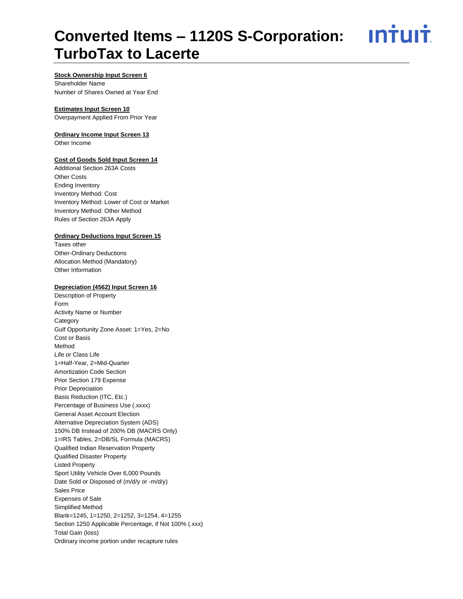# **Converted Items – 1120S S-Corporation: TurboTax to Lacerte**

<u>**Intuit**</u>

# **Stock Ownership Input Screen 6**

Shareholder Name Number of Shares Owned at Year End

# **Estimates Input Screen 10**

Overpayment Applied From Prior Year

# **Ordinary Income Input Screen 13**

Other Income

#### **Cost of Goods Sold Input Screen 14**

Additional Section 263A Costs Other Costs Ending Inventory Inventory Method: Cost Inventory Method: Lower of Cost or Market Inventory Method: Other Method Rules of Section 263A Apply

# **Ordinary Deductions Input Screen 15**

Taxes other Other-Ordinary Deductions Allocation Method (Mandatory) Other Information

## **Depreciation (4562) Input Screen 16**

Description of Property Form Activity Name or Number Category Gulf Opportunity Zone Asset: 1=Yes, 2=No Cost or Basis Method Life or Class Life 1=Half-Year, 2=Mid-Quarter Amortization Code Section Prior Section 179 Expense Prior Depreciation Basis Reduction (ITC, Etc.) Percentage of Business Use (.xxxx) General Asset Account Election Alternative Depreciation System (ADS) 150% DB Instead of 200% DB (MACRS Only) 1=IRS Tables, 2=DB/SL Formula (MACRS) Qualified Indian Reservation Property Qualified Disaster Property Listed Property Sport Utility Vehicle Over 6,000 Pounds Date Sold or Disposed of (m/d/y or -m/d/y) Sales Price Expenses of Sale Simplified Method Blank=1245, 1=1250, 2=1252, 3=1254, 4=1255 Section 1250 Applicable Percentage, if Not 100% (.xxx) Total Gain (loss) Ordinary income portion under recapture rules